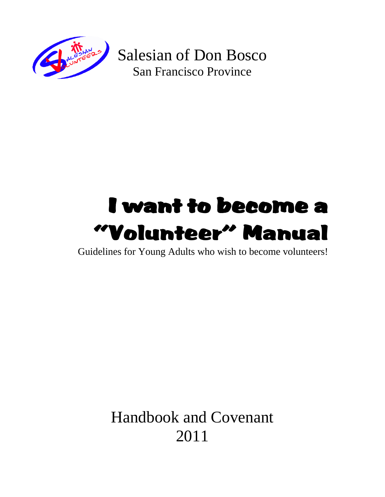

Salesian of Don Bosco San Francisco Province

## I want to become a "Volunteer" Manual

Guidelines for Young Adults who wish to become volunteers!

Handbook and Covenant 2011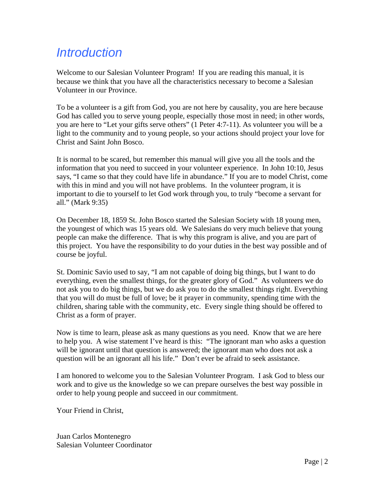## *Introduction*

Welcome to our Salesian Volunteer Program! If you are reading this manual, it is because we think that you have all the characteristics necessary to become a Salesian Volunteer in our Province.

To be a volunteer is a gift from God, you are not here by causality, you are here because God has called you to serve young people, especially those most in need; in other words, you are here to "Let your gifts serve others" (1 Peter 4:7-11). As volunteer you will be a light to the community and to young people, so your actions should project your love for Christ and Saint John Bosco.

It is normal to be scared, but remember this manual will give you all the tools and the information that you need to succeed in your volunteer experience. In John 10:10, Jesus says, "I came so that they could have life in abundance." If you are to model Christ, come with this in mind and you will not have problems. In the volunteer program, it is important to die to yourself to let God work through you, to truly "become a servant for all." (Mark 9:35)

On December 18, 1859 St. John Bosco started the Salesian Society with 18 young men, the youngest of which was 15 years old. We Salesians do very much believe that young people can make the difference. That is why this program is alive, and you are part of this project. You have the responsibility to do your duties in the best way possible and of course be joyful.

St. Dominic Savio used to say, "I am not capable of doing big things, but I want to do everything, even the smallest things, for the greater glory of God." As volunteers we do not ask you to do big things, but we do ask you to do the smallest things right. Everything that you will do must be full of love; be it prayer in community, spending time with the children, sharing table with the community, etc. Every single thing should be offered to Christ as a form of prayer.

Now is time to learn, please ask as many questions as you need. Know that we are here to help you. A wise statement I've heard is this: "The ignorant man who asks a question will be ignorant until that question is answered; the ignorant man who does not ask a question will be an ignorant all his life." Don't ever be afraid to seek assistance.

I am honored to welcome you to the Salesian Volunteer Program. I ask God to bless our work and to give us the knowledge so we can prepare ourselves the best way possible in order to help young people and succeed in our commitment.

Your Friend in Christ,

Juan Carlos Montenegro Salesian Volunteer Coordinator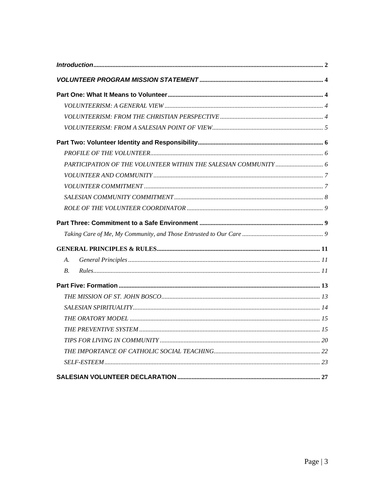| A.               |  |
|------------------|--|
| $\overline{B}$ . |  |
|                  |  |
|                  |  |
|                  |  |
|                  |  |
|                  |  |
|                  |  |
|                  |  |
|                  |  |
|                  |  |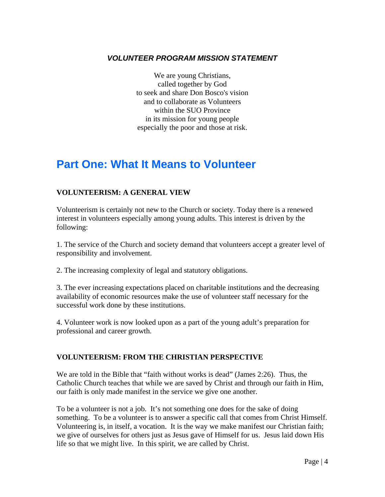#### *VOLUNTEER PROGRAM MISSION STATEMENT*

We are young Christians, called together by God to seek and share Don Bosco's vision and to collaborate as Volunteers within the SUO Province in its mission for young people especially the poor and those at risk.

## **Part One: What It Means to Volunteer**

#### **VOLUNTEERISM: A GENERAL VIEW**

Volunteerism is certainly not new to the Church or society. Today there is a renewed interest in volunteers especially among young adults. This interest is driven by the following:

1. The service of the Church and society demand that volunteers accept a greater level of responsibility and involvement.

2. The increasing complexity of legal and statutory obligations.

3. The ever increasing expectations placed on charitable institutions and the decreasing availability of economic resources make the use of volunteer staff necessary for the successful work done by these institutions.

4. Volunteer work is now looked upon as a part of the young adult's preparation for professional and career growth.

#### **VOLUNTEERISM: FROM THE CHRISTIAN PERSPECTIVE**

We are told in the Bible that "faith without works is dead" (James 2:26). Thus, the Catholic Church teaches that while we are saved by Christ and through our faith in Him, our faith is only made manifest in the service we give one another.

To be a volunteer is not a job. It's not something one does for the sake of doing something. To be a volunteer is to answer a specific call that comes from Christ Himself. Volunteering is, in itself, a vocation. It is the way we make manifest our Christian faith; we give of ourselves for others just as Jesus gave of Himself for us. Jesus laid down His life so that we might live. In this spirit, we are called by Christ.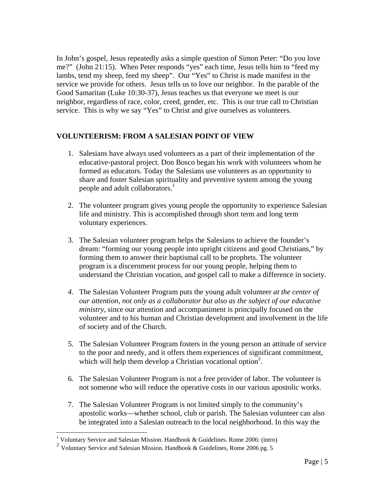In John's gospel, Jesus repeatedly asks a simple question of Simon Peter: "Do you love me?" (John 21:15). When Peter responds "yes" each time, Jesus tells him to "feed my lambs, tend my sheep, feed my sheep". Our "Yes" to Christ is made manifest in the service we provide for others. Jesus tells us to love our neighbor. In the parable of the Good Samaritan (Luke 10:30-37), Jesus teaches us that everyone we meet is our neighbor, regardless of race, color, creed, gender, etc. This is our true call to Christian service. This is why we say "Yes" to Christ and give ourselves as volunteers.

#### **VOLUNTEERISM: FROM A SALESIAN POINT OF VIEW**

- 1. Salesians have always used volunteers as a part of their implementation of the educative-pastoral project. Don Bosco began his work with volunteers whom he formed as educators. Today the Salesians use volunteers as an opportunity to share and foster Salesian spirituality and preventive system among the young people and adult collaborators.<sup>1</sup>
- 2. The volunteer program gives young people the opportunity to experience Salesian life and ministry. This is accomplished through short term and long term voluntary experiences.
- 3. The Salesian volunteer program helps the Salesians to achieve the founder's dream: "forming our young people into upright citizens and good Christians," by forming them to answer their baptismal call to be prophets. The volunteer program is a discernment process for our young people, helping them to understand the Christian vocation, and gospel call to make a difference in society.
- *4.* The Salesian Volunteer Program puts the young adult volunteer *at the center of our attention, not only as a collaborator but also as the subject of our educative ministry*, since our attention and accompaniment is principally focused on the volunteer and to his human and Christian development and involvement in the life of society and of the Church.
- 5. The Salesian Volunteer Program fosters in the young person an attitude of service to the poor and needy, and it offers them experiences of significant commitment, which will help them develop a Christian vocational option<sup>2</sup>.
- 6. The Salesian Volunteer Program is not a free provider of labor. The volunteer is not someone who will reduce the operative costs in our various apostolic works.
- 7. The Salesian Volunteer Program is not limited simply to the community's apostolic works—whether school, club or parish. The Salesian volunteer can also be integrated into a Salesian outreach to the local neighborhood. In this way the

 1 Voluntary Service and Salesian Mission. Handbook & Guidelines. Rome 2006: (intro)

<sup>&</sup>lt;sup>2</sup> Voluntary Service and Salesian Mission. Handbook & Guidelines, Rome 2006 pg. 5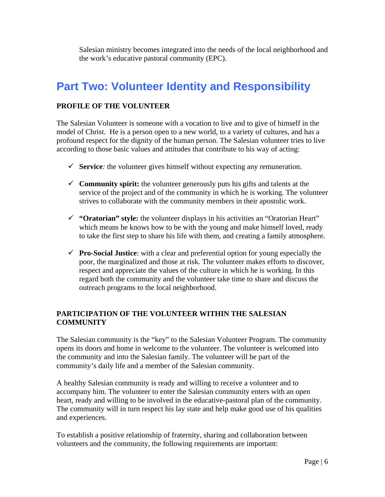Salesian ministry becomes integrated into the needs of the local neighborhood and the work's educative pastoral community (EPC).

## **Part Two: Volunteer Identity and Responsibility**

#### **PROFILE OF THE VOLUNTEER**

The Salesian Volunteer is someone with a vocation to live and to give of himself in the model of Christ. He is a person open to a new world, to a variety of cultures, and has a profound respect for the dignity of the human person. The Salesian volunteer tries to live according to those basic values and attitudes that contribute to his way of acting:

- $\checkmark$  **Service**: the volunteer gives himself without expecting any remuneration.
- **Community spirit:** the volunteer generously puts his gifts and talents at the service of the project and of the community in which he is working. The volunteer strives to collaborate with the community members in their apostolic work.
- **"Oratorian" style:** the volunteer displays in his activities an "Oratorian Heart" which means he knows how to be with the young and make himself loved, ready to take the first step to share his life with them, and creating a family atmosphere.
- **Pro-Social Justice**: with a clear and preferential option for young especially the poor, the marginalized and those at risk. The volunteer makes efforts to discover, respect and appreciate the values of the culture in which he is working. In this regard both the community and the volunteer take time to share and discuss the outreach programs to the local neighborhood.

#### **PARTICIPATION OF THE VOLUNTEER WITHIN THE SALESIAN COMMUNITY**

The Salesian community is the "key" to the Salesian Volunteer Program. The community opens its doors and home in welcome to the volunteer. The volunteer is welcomed into the community and into the Salesian family. The volunteer will be part of the community's daily life and a member of the Salesian community.

A healthy Salesian community is ready and willing to receive a volunteer and to accompany him. The volunteer to enter the Salesian community enters with an open heart, ready and willing to be involved in the educative-pastoral plan of the community. The community will in turn respect his lay state and help make good use of his qualities and experiences.

To establish a positive relationship of fraternity, sharing and collaboration between volunteers and the community, the following requirements are important: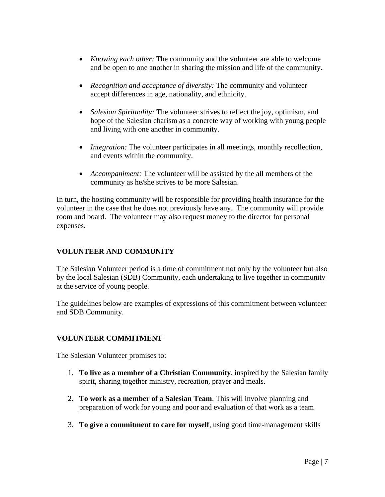- *Knowing each other:* The community and the volunteer are able to welcome and be open to one another in sharing the mission and life of the community.
- *Recognition and acceptance of diversity:* The community and volunteer accept differences in age, nationality, and ethnicity.
- *Salesian Spirituality:* The volunteer strives to reflect the joy, optimism, and hope of the Salesian charism as a concrete way of working with young people and living with one another in community.
- *Integration:* The volunteer participates in all meetings, monthly recollection, and events within the community.
- *Accompaniment:* The volunteer will be assisted by the all members of the community as he/she strives to be more Salesian.

In turn, the hosting community will be responsible for providing health insurance for the volunteer in the case that he does not previously have any. The community will provide room and board. The volunteer may also request money to the director for personal expenses.

#### **VOLUNTEER AND COMMUNITY**

The Salesian Volunteer period is a time of commitment not only by the volunteer but also by the local Salesian (SDB) Community, each undertaking to live together in community at the service of young people.

The guidelines below are examples of expressions of this commitment between volunteer and SDB Community.

#### **VOLUNTEER COMMITMENT**

The Salesian Volunteer promises to:

- 1. **To live as a member of a Christian Community**, inspired by the Salesian family spirit, sharing together ministry, recreation, prayer and meals.
- 2. **To work as a member of a Salesian Team**. This will involve planning and preparation of work for young and poor and evaluation of that work as a team
- 3. **To give a commitment to care for myself**, using good time-management skills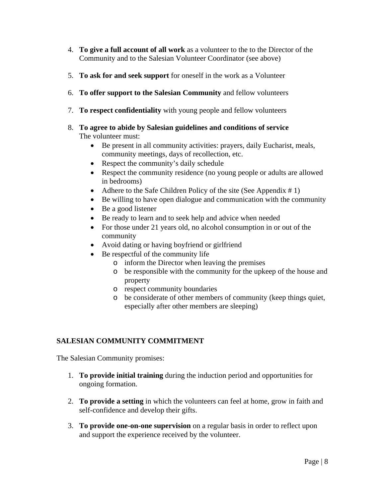- 4. **To give a full account of all work** as a volunteer to the to the Director of the Community and to the Salesian Volunteer Coordinator (see above)
- 5. **To ask for and seek support** for oneself in the work as a Volunteer
- 6. **To offer support to the Salesian Community** and fellow volunteers
- 7. **To respect confidentiality** with young people and fellow volunteers
- 8. **To agree to abide by Salesian guidelines and conditions of service** The volunteer must:
	- Be present in all community activities: prayers, daily Eucharist, meals, community meetings, days of recollection, etc.
	- Respect the community's daily schedule
	- Respect the community residence (no young people or adults are allowed in bedrooms)
	- Adhere to the Safe Children Policy of the site (See Appendix  $# 1$ )
	- Be willing to have open dialogue and communication with the community
	- Be a good listener
	- Be ready to learn and to seek help and advice when needed
	- For those under 21 years old, no alcohol consumption in or out of the community
	- Avoid dating or having boyfriend or girlfriend
	- Be respectful of the community life
		- o inform the Director when leaving the premises
		- o be responsible with the community for the upkeep of the house and property
		- o respect community boundaries
		- o be considerate of other members of community (keep things quiet, especially after other members are sleeping)

#### **SALESIAN COMMUNITY COMMITMENT**

The Salesian Community promises:

- 1. **To provide initial training** during the induction period and opportunities for ongoing formation.
- 2. **To provide a setting** in which the volunteers can feel at home, grow in faith and self-confidence and develop their gifts.
- 3. **To provide one-on-one supervision** on a regular basis in order to reflect upon and support the experience received by the volunteer.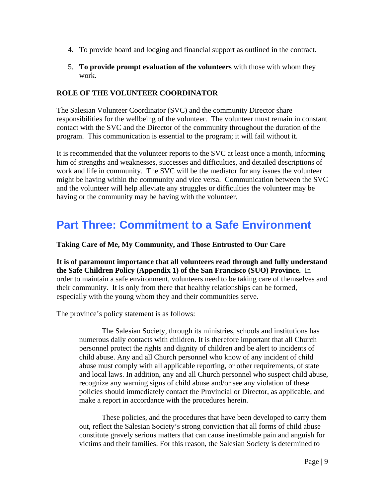- 4. To provide board and lodging and financial support as outlined in the contract.
- 5. **To provide prompt evaluation of the volunteers** with those with whom they work.

#### **ROLE OF THE VOLUNTEER COORDINATOR**

The Salesian Volunteer Coordinator (SVC) and the community Director share responsibilities for the wellbeing of the volunteer. The volunteer must remain in constant contact with the SVC and the Director of the community throughout the duration of the program. This communication is essential to the program; it will fail without it.

It is recommended that the volunteer reports to the SVC at least once a month, informing him of strengths and weaknesses, successes and difficulties, and detailed descriptions of work and life in community. The SVC will be the mediator for any issues the volunteer might be having within the community and vice versa. Communication between the SVC and the volunteer will help alleviate any struggles or difficulties the volunteer may be having or the community may be having with the volunteer.

## **Part Three: Commitment to a Safe Environment**

**Taking Care of Me, My Community, and Those Entrusted to Our Care** 

**It is of paramount importance that all volunteers read through and fully understand the Safe Children Policy (Appendix 1) of the San Francisco (SUO) Province.** In order to maintain a safe environment, volunteers need to be taking care of themselves and their community. It is only from there that healthy relationships can be formed, especially with the young whom they and their communities serve.

The province's policy statement is as follows:

The Salesian Society, through its ministries, schools and institutions has numerous daily contacts with children. It is therefore important that all Church personnel protect the rights and dignity of children and be alert to incidents of child abuse. Any and all Church personnel who know of any incident of child abuse must comply with all applicable reporting, or other requirements, of state and local laws. In addition, any and all Church personnel who suspect child abuse, recognize any warning signs of child abuse and/or see any violation of these policies should immediately contact the Provincial or Director, as applicable, and make a report in accordance with the procedures herein.

These policies, and the procedures that have been developed to carry them out, reflect the Salesian Society's strong conviction that all forms of child abuse constitute gravely serious matters that can cause inestimable pain and anguish for victims and their families. For this reason, the Salesian Society is determined to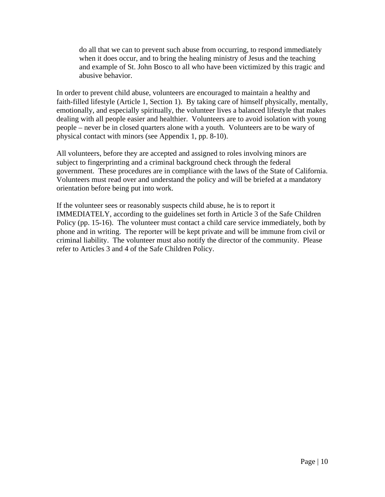do all that we can to prevent such abuse from occurring, to respond immediately when it does occur, and to bring the healing ministry of Jesus and the teaching and example of St. John Bosco to all who have been victimized by this tragic and abusive behavior.

In order to prevent child abuse, volunteers are encouraged to maintain a healthy and faith-filled lifestyle (Article 1, Section 1). By taking care of himself physically, mentally, emotionally, and especially spiritually, the volunteer lives a balanced lifestyle that makes dealing with all people easier and healthier. Volunteers are to avoid isolation with young people – never be in closed quarters alone with a youth. Volunteers are to be wary of physical contact with minors (see Appendix 1, pp. 8-10).

All volunteers, before they are accepted and assigned to roles involving minors are subject to fingerprinting and a criminal background check through the federal government. These procedures are in compliance with the laws of the State of California. Volunteers must read over and understand the policy and will be briefed at a mandatory orientation before being put into work.

If the volunteer sees or reasonably suspects child abuse, he is to report it IMMEDIATELY, according to the guidelines set forth in Article 3 of the Safe Children Policy (pp. 15-16). The volunteer must contact a child care service immediately, both by phone and in writing. The reporter will be kept private and will be immune from civil or criminal liability. The volunteer must also notify the director of the community. Please refer to Articles 3 and 4 of the Safe Children Policy.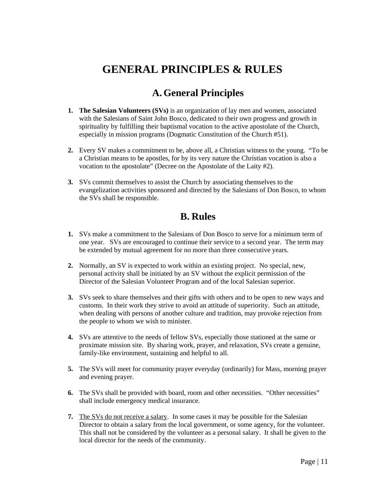## **GENERAL PRINCIPLES & RULES**

## **A.General Principles**

- **1. The Salesian Volunteers (SVs)** is an organization of lay men and women, associated with the Salesians of Saint John Bosco, dedicated to their own progress and growth in spirituality by fulfilling their baptismal vocation to the active apostolate of the Church, especially in mission programs (Dogmatic Constitution of the Church #51).
- **2.** Every SV makes a commitment to be, above all, a Christian witness to the young. "To be a Christian means to be apostles, for by its very nature the Christian vocation is also a vocation to the apostolate" (Decree on the Apostolate of the Laity #2).
- **3.** SVs commit themselves to assist the Church by associating themselves to the evangelization activities sponsored and directed by the Salesians of Don Bosco, to whom the SVs shall be responsible.

### **B. Rules**

- **1.** SVs make a commitment to the Salesians of Don Bosco to serve for a minimum term of one year. SVs are encouraged to continue their service to a second year. The term may be extended by mutual agreement for no more than three consecutive years.
- **2.** Normally, an SV is expected to work within an existing project. No special, new, personal activity shall be initiated by an SV without the explicit permission of the Director of the Salesian Volunteer Program and of the local Salesian superior.
- **3.** SVs seek to share themselves and their gifts with others and to be open to new ways and customs. In their work they strive to avoid an attitude of superiority. Such an attitude, when dealing with persons of another culture and tradition, may provoke rejection from the people to whom we wish to minister.
- **4.** SVs are attentive to the needs of fellow SVs, especially those stationed at the same or proximate mission site. By sharing work, prayer, and relaxation, SVs create a genuine, family-like environment, sustaining and helpful to all.
- **5.** The SVs will meet for community prayer everyday (ordinarily) for Mass, morning prayer and evening prayer.
- **6.** The SVs shall be provided with board, room and other necessities. "Other necessities" shall include emergency medical insurance.
- **7.** The SVs do not receive a salary. In some cases it may be possible for the Salesian Director to obtain a salary from the local government, or some agency, for the volunteer. This shall not be considered by the volunteer as a personal salary. It shall be given to the local director for the needs of the community.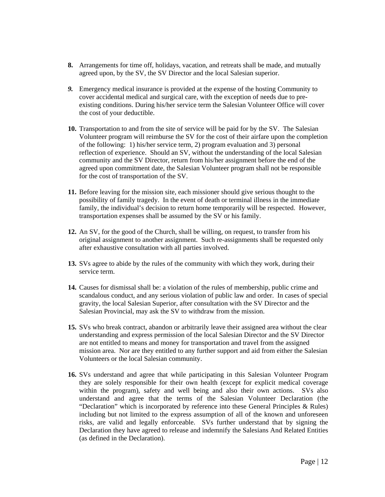- **8.** Arrangements for time off, holidays, vacation, and retreats shall be made, and mutually agreed upon, by the SV, the SV Director and the local Salesian superior.
- *9.* Emergency medical insurance is provided at the expense of the hosting Community to cover accidental medical and surgical care, with the exception of needs due to preexisting conditions. During his/her service term the Salesian Volunteer Office will cover the cost of your deductible.
- **10.** Transportation to and from the site of service will be paid for by the SV. The Salesian Volunteer program will reimburse the SV for the cost of their airfare upon the completion of the following: 1) his/her service term, 2) program evaluation and 3) personal reflection of experience. Should an SV, without the understanding of the local Salesian community and the SV Director, return from his/her assignment before the end of the agreed upon commitment date, the Salesian Volunteer program shall not be responsible for the cost of transportation of the SV.
- **11.** Before leaving for the mission site, each missioner should give serious thought to the possibility of family tragedy. In the event of death or terminal illness in the immediate family, the individual's decision to return home temporarily will be respected. However, transportation expenses shall be assumed by the SV or his family.
- **12.** An SV, for the good of the Church, shall be willing, on request, to transfer from his original assignment to another assignment. Such re-assignments shall be requested only after exhaustive consultation with all parties involved.
- **13.** SVs agree to abide by the rules of the community with which they work, during their service term.
- **14.** Causes for dismissal shall be: a violation of the rules of membership, public crime and scandalous conduct, and any serious violation of public law and order. In cases of special gravity, the local Salesian Superior, after consultation with the SV Director and the Salesian Provincial, may ask the SV to withdraw from the mission.
- **15.** SVs who break contract, abandon or arbitrarily leave their assigned area without the clear understanding and express permission of the local Salesian Director and the SV Director are not entitled to means and money for transportation and travel from the assigned mission area. Nor are they entitled to any further support and aid from either the Salesian Volunteers or the local Salesian community.
- **16.** SVs understand and agree that while participating in this Salesian Volunteer Program they are solely responsible for their own health (except for explicit medical coverage within the program), safety and well being and also their own actions. SVs also understand and agree that the terms of the Salesian Volunteer Declaration (the "Declaration" which is incorporated by reference into these General Principles & Rules) including but not limited to the express assumption of all of the known and unforeseen risks, are valid and legally enforceable. SVs further understand that by signing the Declaration they have agreed to release and indemnify the Salesians And Related Entities (as defined in the Declaration).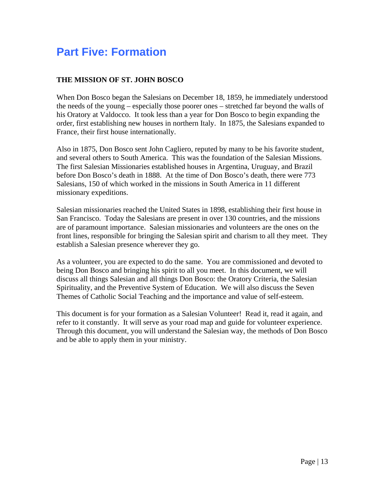## **Part Five: Formation**

#### **THE MISSION OF ST. JOHN BOSCO**

When Don Bosco began the Salesians on December 18, 1859, he immediately understood the needs of the young – especially those poorer ones – stretched far beyond the walls of his Oratory at Valdocco. It took less than a year for Don Bosco to begin expanding the order, first establishing new houses in northern Italy. In 1875, the Salesians expanded to France, their first house internationally.

Also in 1875, Don Bosco sent John Cagliero, reputed by many to be his favorite student, and several others to South America. This was the foundation of the Salesian Missions. The first Salesian Missionaries established houses in Argentina, Uruguay, and Brazil before Don Bosco's death in 1888. At the time of Don Bosco's death, there were 773 Salesians, 150 of which worked in the missions in South America in 11 different missionary expeditions.

Salesian missionaries reached the United States in 1898, establishing their first house in San Francisco. Today the Salesians are present in over 130 countries, and the missions are of paramount importance. Salesian missionaries and volunteers are the ones on the front lines, responsible for bringing the Salesian spirit and charism to all they meet. They establish a Salesian presence wherever they go.

As a volunteer, you are expected to do the same. You are commissioned and devoted to being Don Bosco and bringing his spirit to all you meet. In this document, we will discuss all things Salesian and all things Don Bosco: the Oratory Criteria, the Salesian Spirituality, and the Preventive System of Education. We will also discuss the Seven Themes of Catholic Social Teaching and the importance and value of self-esteem.

This document is for your formation as a Salesian Volunteer! Read it, read it again, and refer to it constantly. It will serve as your road map and guide for volunteer experience. Through this document, you will understand the Salesian way, the methods of Don Bosco and be able to apply them in your ministry.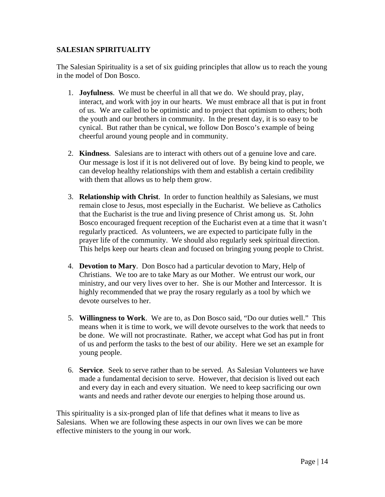#### **SALESIAN SPIRITUALITY**

The Salesian Spirituality is a set of six guiding principles that allow us to reach the young in the model of Don Bosco.

- 1. **Joyfulness**. We must be cheerful in all that we do. We should pray, play, interact, and work with joy in our hearts. We must embrace all that is put in front of us. We are called to be optimistic and to project that optimism to others; both the youth and our brothers in community. In the present day, it is so easy to be cynical. But rather than be cynical, we follow Don Bosco's example of being cheerful around young people and in community.
- 2. **Kindness**. Salesians are to interact with others out of a genuine love and care. Our message is lost if it is not delivered out of love. By being kind to people, we can develop healthy relationships with them and establish a certain credibility with them that allows us to help them grow.
- 3. **Relationship with Christ**. In order to function healthily as Salesians, we must remain close to Jesus, most especially in the Eucharist. We believe as Catholics that the Eucharist is the true and living presence of Christ among us. St. John Bosco encouraged frequent reception of the Eucharist even at a time that it wasn't regularly practiced. As volunteers, we are expected to participate fully in the prayer life of the community. We should also regularly seek spiritual direction. This helps keep our hearts clean and focused on bringing young people to Christ.
- 4. **Devotion to Mary**. Don Bosco had a particular devotion to Mary, Help of Christians. We too are to take Mary as our Mother. We entrust our work, our ministry, and our very lives over to her. She is our Mother and Intercessor. It is highly recommended that we pray the rosary regularly as a tool by which we devote ourselves to her.
- 5. **Willingness to Work**. We are to, as Don Bosco said, "Do our duties well." This means when it is time to work, we will devote ourselves to the work that needs to be done. We will not procrastinate. Rather, we accept what God has put in front of us and perform the tasks to the best of our ability. Here we set an example for young people.
- 6. **Service**. Seek to serve rather than to be served. As Salesian Volunteers we have made a fundamental decision to serve. However, that decision is lived out each and every day in each and every situation. We need to keep sacrificing our own wants and needs and rather devote our energies to helping those around us.

This spirituality is a six-pronged plan of life that defines what it means to live as Salesians. When we are following these aspects in our own lives we can be more effective ministers to the young in our work.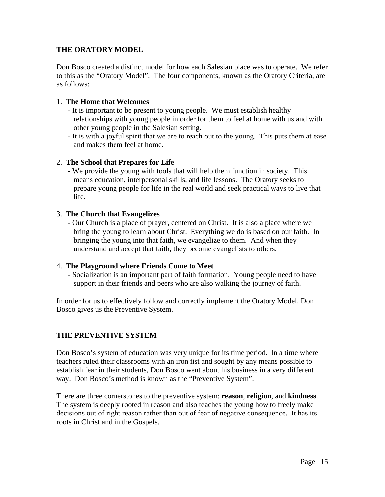#### **THE ORATORY MODEL**

Don Bosco created a distinct model for how each Salesian place was to operate. We refer to this as the "Oratory Model". The four components, known as the Oratory Criteria, are as follows:

#### 1. **The Home that Welcomes**

- It is important to be present to young people. We must establish healthy relationships with young people in order for them to feel at home with us and with other young people in the Salesian setting.
- It is with a joyful spirit that we are to reach out to the young. This puts them at ease and makes them feel at home.

#### 2. **The School that Prepares for Life**

- We provide the young with tools that will help them function in society. This means education, interpersonal skills, and life lessons. The Oratory seeks to prepare young people for life in the real world and seek practical ways to live that life.

#### 3. **The Church that Evangelizes**

- Our Church is a place of prayer, centered on Christ. It is also a place where we bring the young to learn about Christ. Everything we do is based on our faith. In bringing the young into that faith, we evangelize to them. And when they understand and accept that faith, they become evangelists to others.

#### 4. **The Playground where Friends Come to Meet**

- Socialization is an important part of faith formation. Young people need to have support in their friends and peers who are also walking the journey of faith.

In order for us to effectively follow and correctly implement the Oratory Model, Don Bosco gives us the Preventive System.

#### **THE PREVENTIVE SYSTEM**

Don Bosco's system of education was very unique for its time period. In a time where teachers ruled their classrooms with an iron fist and sought by any means possible to establish fear in their students, Don Bosco went about his business in a very different way. Don Bosco's method is known as the "Preventive System".

There are three cornerstones to the preventive system: **reason**, **religion**, and **kindness**. The system is deeply rooted in reason and also teaches the young how to freely make decisions out of right reason rather than out of fear of negative consequence. It has its roots in Christ and in the Gospels.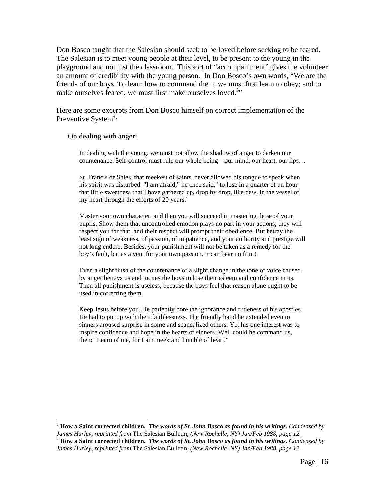Don Bosco taught that the Salesian should seek to be loved before seeking to be feared. The Salesian is to meet young people at their level, to be present to the young in the playground and not just the classroom. This sort of "accompaniment" gives the volunteer an amount of credibility with the young person. In Don Bosco's own words, "We are the friends of our boys. To learn how to command them, we must first learn to obey; and to make ourselves feared, we must first make ourselves loved.<sup>3</sup>"

Here are some excerpts from Don Bosco himself on correct implementation of the Preventive System<sup>4</sup>:

On dealing with anger:

 $\overline{a}$ 

In dealing with the young, we must not allow the shadow of anger to darken our countenance. Self-control must rule our whole being – our mind, our heart, our lips…

St. Francis de Sales, that meekest of saints, never allowed his tongue to speak when his spirit was disturbed. "I am afraid," he once said, "to lose in a quarter of an hour that little sweetness that I have gathered up, drop by drop, like dew, in the vessel of my heart through the efforts of 20 years."

Master your own character, and then you will succeed in mastering those of your pupils. Show them that uncontrolled emotion plays no part in your actions; they will respect you for that, and their respect will prompt their obedience. But betray the least sign of weakness, of passion, of impatience, and your authority and prestige will not long endure. Besides, your punishment will not be taken as a remedy for the boy's fault, but as a vent for your own passion. It can bear no fruit!

Even a slight flush of the countenance or a slight change in the tone of voice caused by anger betrays us and incites the boys to lose their esteem and confidence in us. Then all punishment is useless, because the boys feel that reason alone ought to be used in correcting them.

Keep Jesus before you. He patiently bore the ignorance and rudeness of his apostles. He had to put up with their faithlessness. The friendly hand he extended even to sinners aroused surprise in some and scandalized others. Yet his one interest was to inspire confidence and hope in the hearts of sinners. Well could he command us, then: "Learn of me, for I am meek and humble of heart."

<sup>&</sup>lt;sup>3</sup> **How a Saint corrected children.** *The words of St. John Bosco as found in his writings. Condensed by James Hurley, reprinted from The Salesian Bulletin, (New Rochelle, NY) Jan/Feb 1988, page 12.* James Hurley, reprinted from The Salesian Bulletin, (New Rochelle, NY) Jan/Feb 1988, page 12.<br><sup>4</sup> **How a Saint corrected children.** *The words of St. John Bosco as found in his writings. Condensed by* 

*James Hurley, reprinted from* The Salesian Bulletin, *(New Rochelle, NY) Jan/Feb 1988, page 12.*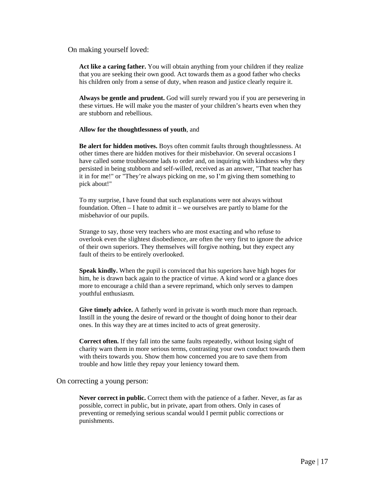On making yourself loved:

**Act like a caring father.** You will obtain anything from your children if they realize that you are seeking their own good. Act towards them as a good father who checks his children only from a sense of duty, when reason and justice clearly require it.

**Always be gentle and prudent.** God will surely reward you if you are persevering in these virtues. He will make you the master of your children's hearts even when they are stubborn and rebellious.

#### **Allow for the thoughtlessness of youth**, and

**Be alert for hidden motives.** Boys often commit faults through thoughtlessness. At other times there are hidden motives for their misbehavior. On several occasions I have called some troublesome lads to order and, on inquiring with kindness why they persisted in being stubborn and self-willed, received as an answer, "That teacher has it in for me!" or "They're always picking on me, so I'm giving them something to pick about!"

To my surprise, I have found that such explanations were not always without foundation. Often – I hate to admit it – we ourselves are partly to blame for the misbehavior of our pupils.

Strange to say, those very teachers who are most exacting and who refuse to overlook even the slightest disobedience, are often the very first to ignore the advice of their own superiors. They themselves will forgive nothing, but they expect any fault of theirs to be entirely overlooked.

**Speak kindly.** When the pupil is convinced that his superiors have high hopes for him, he is drawn back again to the practice of virtue. A kind word or a glance does more to encourage a child than a severe reprimand, which only serves to dampen youthful enthusiasm.

**Give timely advice.** A fatherly word in private is worth much more than reproach. Instill in the young the desire of reward or the thought of doing honor to their dear ones. In this way they are at times incited to acts of great generosity.

**Correct often.** If they fall into the same faults repeatedly, without losing sight of charity warn them in more serious terms, contrasting your own conduct towards them with theirs towards you. Show them how concerned you are to save them from trouble and how little they repay your leniency toward them.

On correcting a young person:

**Never correct in public.** Correct them with the patience of a father. Never, as far as possible, correct in public, but in private, apart from others. Only in cases of preventing or remedying serious scandal would I permit public corrections or punishments.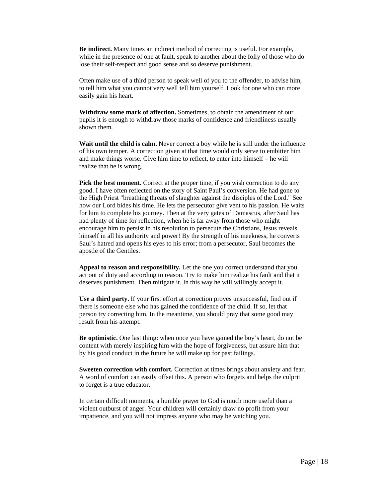**Be indirect.** Many times an indirect method of correcting is useful. For example, while in the presence of one at fault, speak to another about the folly of those who do lose their self-respect and good sense and so deserve punishment.

Often make use of a third person to speak well of you to the offender, to advise him, to tell him what you cannot very well tell him yourself. Look for one who can more easily gain his heart.

**Withdraw some mark of affection.** Sometimes, to obtain the amendment of our pupils it is enough to withdraw those marks of confidence and friendliness usually shown them.

**Wait until the child is calm.** Never correct a boy while he is still under the influence of his own temper. A correction given at that time would only serve to embitter him and make things worse. Give him time to reflect, to enter into himself – he will realize that he is wrong.

Pick the best moment. Correct at the proper time, if you wish correction to do any good. I have often reflected on the story of Saint Paul's conversion. He had gone to the High Priest "breathing threats of slaughter against the disciples of the Lord." See how our Lord bides his time. He lets the persecutor give vent to his passion. He waits for him to complete his journey. Then at the very gates of Damascus, after Saul has had plenty of time for reflection, when he is far away from those who might encourage him to persist in his resolution to persecute the Christians, Jesus reveals himself in all his authority and power! By the strength of his meekness, he converts Saul's hatred and opens his eyes to his error; from a persecutor, Saul becomes the apostle of the Gentiles.

**Appeal to reason and responsibility.** Let the one you correct understand that you act out of duty and according to reason. Try to make him realize his fault and that it deserves punishment. Then mitigate it. In this way he will willingly accept it.

**Use a third party.** If your first effort at correction proves unsuccessful, find out if there is someone else who has gained the confidence of the child. If so, let that person try correcting him. In the meantime, you should pray that some good may result from his attempt.

**Be optimistic.** One last thing: when once you have gained the boy's heart, do not be content with merely inspiring him with the hope of forgiveness, but assure him that by his good conduct in the future he will make up for past failings.

**Sweeten correction with comfort.** Correction at times brings about anxiety and fear. A word of comfort can easily offset this. A person who forgets and helps the culprit to forget is a true educator.

In certain difficult moments, a humble prayer to God is much more useful than a violent outburst of anger. Your children will certainly draw no profit from your impatience, and you will not impress anyone who may be watching you.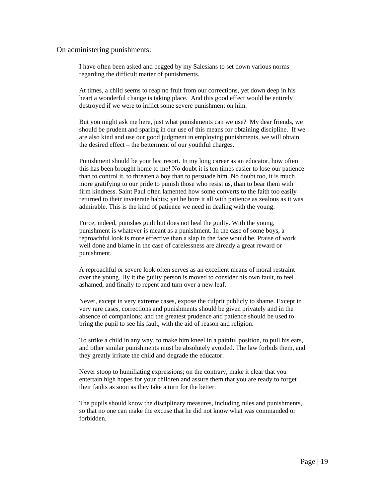#### On administering punishments:

I have often been asked and begged by my Salesians to set down various norms regarding the difficult matter of punishments.

At times, a child seems to reap no fruit from our corrections, yet down deep in his heart a wonderful change is taking place. And this good effect would be entirely destroyed if we were to inflict some severe punishment on him.

But you might ask me here, just what punishments can we use? My dear friends, we should be prudent and sparing in our use of this means for obtaining discipline. If we are also kind and use our good judgment in employing punishments, we will obtain the desired effect – the betterment of our youthful charges.

Punishment should be your last resort. In my long career as an educator, how often this has been brought home to me! No doubt it is ten times easier to lose our patience than to control it, to threaten a boy than to persuade him. No doubt too, it is much more gratifying to our pride to punish those who resist us, than to bear them with firm kindness. Saint Paul often lamented how some converts to the faith too easily returned to their inveterate habits; yet he bore it all with patience as zealous as it was admirable. This is the kind of patience we need in dealing with the young.

Force, indeed, punishes guilt but does not heal the guilty. With the young, punishment is whatever is meant as a punishment. In the case of some boys, a reproachful look is more effective than a slap in the face would be. Praise of work well done and blame in the case of carelessness are already a great reward or punishment.

A reproachful or severe look often serves as an excellent means of moral restraint over the young. By it the guilty person is moved to consider his own fault, to feel ashamed, and finally to repent and turn over a new leaf.

Never, except in very extreme cases, expose the culprit publicly to shame. Except in very rare cases, corrections and punishments should be given privately and in the absence of companions; and the greatest prudence and patience should be used to bring the pupil to see his fault, with the aid of reason and religion.

To strike a child in any way, to make him kneel in a painful position, to pull his ears, and other similar punishments must be absolutely avoided. The law forbids them, and they greatly irritate the child and degrade the educator.

Never stoop to humiliating expressions; on the contrary, make it clear that you entertain high hopes for your children and assure them that you are ready to forget their faults as soon as they take a turn for the better.

The pupils should know the disciplinary measures, including rules and punishments, so that no one can make the excuse that he did not know what was commanded or forbidden.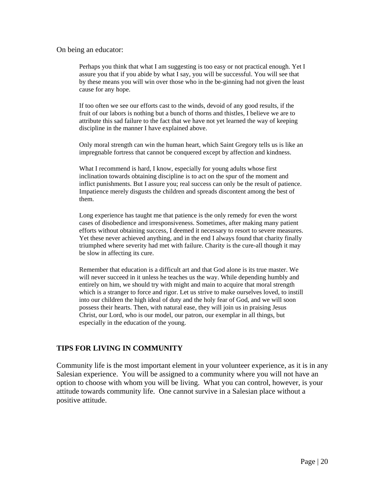#### On being an educator:

Perhaps you think that what I am suggesting is too easy or not practical enough. Yet I assure you that if you abide by what I say, you will be successful. You will see that by these means you will win over those who in the be-ginning had not given the least cause for any hope.

If too often we see our efforts cast to the winds, devoid of any good results, if the fruit of our labors is nothing but a bunch of thorns and thistles, I believe we are to attribute this sad failure to the fact that we have not yet learned the way of keeping discipline in the manner I have explained above.

Only moral strength can win the human heart, which Saint Gregory tells us is like an impregnable fortress that cannot be conquered except by affection and kindness.

What I recommend is hard, I know, especially for young adults whose first inclination towards obtaining discipline is to act on the spur of the moment and inflict punishments. But I assure you; real success can only be the result of patience. Impatience merely disgusts the children and spreads discontent among the best of them.

Long experience has taught me that patience is the only remedy for even the worst cases of disobedience and irresponsiveness. Sometimes, after making many patient efforts without obtaining success, I deemed it necessary to resort to severe measures. Yet these never achieved anything, and in the end I always found that charity finally triumphed where severity had met with failure. Charity is the cure-all though it may be slow in affecting its cure.

Remember that education is a difficult art and that God alone is its true master. We will never succeed in it unless he teaches us the way. While depending humbly and entirely on him, we should try with might and main to acquire that moral strength which is a stranger to force and rigor. Let us strive to make ourselves loved, to instill into our children the high ideal of duty and the holy fear of God, and we will soon possess their hearts. Then, with natural ease, they will join us in praising Jesus Christ, our Lord, who is our model, our patron, our exemplar in all things, but especially in the education of the young.

#### **TIPS FOR LIVING IN COMMUNITY**

Community life is the most important element in your volunteer experience, as it is in any Salesian experience. You will be assigned to a community where you will not have an option to choose with whom you will be living. What you can control, however, is your attitude towards community life. One cannot survive in a Salesian place without a positive attitude.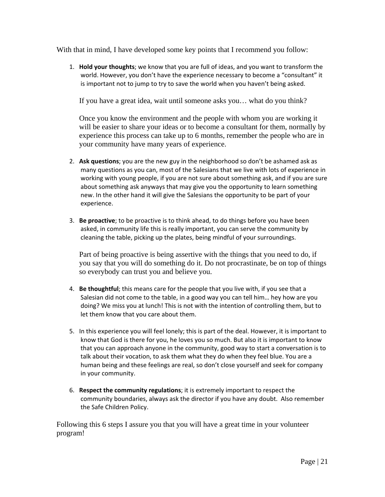With that in mind, I have developed some key points that I recommend you follow:

1. **Hold your thoughts**; we know that you are full of ideas, and you want to transform the world. However, you don't have the experience necessary to become a "consultant" it is important not to jump to try to save the world when you haven't being asked.

If you have a great idea, wait until someone asks you… what do you think?

Once you know the environment and the people with whom you are working it will be easier to share your ideas or to become a consultant for them, normally by experience this process can take up to 6 months, remember the people who are in your community have many years of experience.

- 2. **Ask questions**; you are the new guy in the neighborhood so don't be ashamed ask as many questions as you can, most of the Salesians that we live with lots of experience in working with young people, if you are not sure about something ask, and if you are sure about something ask anyways that may give you the opportunity to learn something new. In the other hand it will give the Salesians the opportunity to be part of your experience.
- 3. **Be proactive**; to be proactive is to think ahead, to do things before you have been asked, in community life this is really important, you can serve the community by cleaning the table, picking up the plates, being mindful of your surroundings.

Part of being proactive is being assertive with the things that you need to do, if you say that you will do something do it. Do not procrastinate, be on top of things so everybody can trust you and believe you.

- 4. **Be thoughtful**; this means care for the people that you live with, if you see that a Salesian did not come to the table, in a good way you can tell him… hey how are you doing? We miss you at lunch! This is not with the intention of controlling them, but to let them know that you care about them.
- 5. In this experience you will feel lonely; this is part of the deal. However, it is important to know that God is there for you, he loves you so much. But also it is important to know that you can approach anyone in the community, good way to start a conversation is to talk about their vocation, to ask them what they do when they feel blue. You are a human being and these feelings are real, so don't close yourself and seek for company in your community.
- 6. **Respect the community regulations**; it is extremely important to respect the community boundaries, always ask the director if you have any doubt. Also remember the Safe Children Policy.

Following this 6 steps I assure you that you will have a great time in your volunteer program!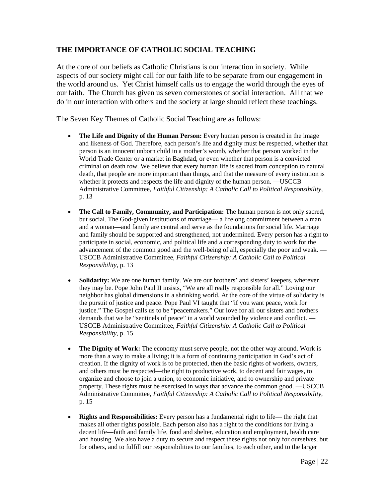#### **THE IMPORTANCE OF CATHOLIC SOCIAL TEACHING**

At the core of our beliefs as Catholic Christians is our interaction in society. While aspects of our society might call for our faith life to be separate from our engagement in the world around us. Yet Christ himself calls us to engage the world through the eyes of our faith. The Church has given us seven cornerstones of social interaction. All that we do in our interaction with others and the society at large should reflect these teachings.

The Seven Key Themes of Catholic Social Teaching are as follows:

- The Life and Dignity of the Human Person: Every human person is created in the image and likeness of God. Therefore, each person's life and dignity must be respected, whether that person is an innocent unborn child in a mother's womb, whether that person worked in the World Trade Center or a market in Baghdad, or even whether that person is a convicted criminal on death row. We believe that every human life is sacred from conception to natural death, that people are more important than things, and that the measure of every institution is whether it protects and respects the life and dignity of the human person. —USCCB Administrative Committee, *Faithful Citizenship: A Catholic Call to Political Responsibility*, p. 13
- **The Call to Family, Community, and Participation:** The human person is not only sacred, but social. The God-given institutions of marriage— a lifelong commitment between a man and a woman—and family are central and serve as the foundations for social life. Marriage and family should be supported and strengthened, not undermined. Every person has a right to participate in social, economic, and political life and a corresponding duty to work for the advancement of the common good and the well-being of all, especially the poor and weak. — USCCB Administrative Committee, *Faithful Citizenship: A Catholic Call to Political Responsibility*, p. 13
- **Solidarity:** We are one human family. We are our brothers' and sisters' keepers, wherever they may be. Pope John Paul II insists, "We are all really responsible for all." Loving our neighbor has global dimensions in a shrinking world. At the core of the virtue of solidarity is the pursuit of justice and peace. Pope Paul VI taught that "if you want peace, work for justice." The Gospel calls us to be "peacemakers." Our love for all our sisters and brothers demands that we be "sentinels of peace" in a world wounded by violence and conflict. -USCCB Administrative Committee, *Faithful Citizenship: A Catholic Call to Political Responsibility*, p. 15
- The Dignity of Work: The economy must serve people, not the other way around. Work is more than a way to make a living; it is a form of continuing participation in God's act of creation. If the dignity of work is to be protected, then the basic rights of workers, owners, and others must be respected—the right to productive work, to decent and fair wages, to organize and choose to join a union, to economic initiative, and to ownership and private property. These rights must be exercised in ways that advance the common good. —USCCB Administrative Committee, *Faithful Citizenship: A Catholic Call to Political Responsibility*, p. 15
- **Rights and Responsibilities:** Every person has a fundamental right to life— the right that makes all other rights possible. Each person also has a right to the conditions for living a decent life—faith and family life, food and shelter, education and employment, health care and housing. We also have a duty to secure and respect these rights not only for ourselves, but for others, and to fulfill our responsibilities to our families, to each other, and to the larger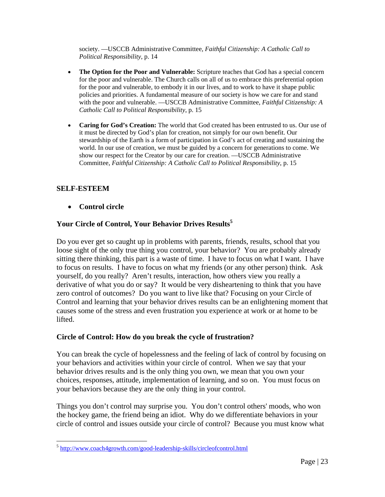society. —USCCB Administrative Committee, *Faithful Citizenship: A Catholic Call to Political Responsibility*, p. 14

- The Option for the Poor and Vulnerable: Scripture teaches that God has a special concern for the poor and vulnerable. The Church calls on all of us to embrace this preferential option for the poor and vulnerable, to embody it in our lives, and to work to have it shape public policies and priorities. A fundamental measure of our society is how we care for and stand with the poor and vulnerable. —USCCB Administrative Committee, *Faithful Citizenship: A Catholic Call to Political Responsibility*, p. 15
- **Caring for God's Creation:** The world that God created has been entrusted to us. Our use of it must be directed by God's plan for creation, not simply for our own benefit. Our stewardship of the Earth is a form of participation in God's act of creating and sustaining the world. In our use of creation, we must be guided by a concern for generations to come. We show our respect for the Creator by our care for creation. —USCCB Administrative Committee, *Faithful Citizenship: A Catholic Call to Political Responsibility*, p. 15

#### **SELF-ESTEEM**

 $\overline{a}$ 

**Control circle** 

#### **Your Circle of Control, Your Behavior Drives Results<sup>5</sup>**

Do you ever get so caught up in problems with parents, friends, results, school that you loose sight of the only true thing you control, your behavior? You are probably already sitting there thinking, this part is a waste of time. I have to focus on what I want. I have to focus on results. I have to focus on what my friends (or any other person) think. Ask yourself, do you really? Aren't results, interaction, how others view you really a derivative of what you do or say? It would be very disheartening to think that you have zero control of outcomes? Do you want to live like that? Focusing on your Circle of Control and learning that your behavior drives results can be an enlightening moment that causes some of the stress and even frustration you experience at work or at home to be lifted.

#### **Circle of Control: How do you break the cycle of frustration?**

You can break the cycle of hopelessness and the feeling of lack of control by focusing on your behaviors and activities within your circle of control. When we say that your behavior drives results and is the only thing you own, we mean that you own your choices, responses, attitude, implementation of learning, and so on. You must focus on your behaviors because they are the only thing in your control.

Things you don't control may surprise you. You don't control others' moods, who won the hockey game, the friend being an idiot. Why do we differentiate behaviors in your circle of control and issues outside your circle of control? Because you must know what

<sup>5</sup> http://www.coach4growth.com/good-leadership-skills/circleofcontrol.html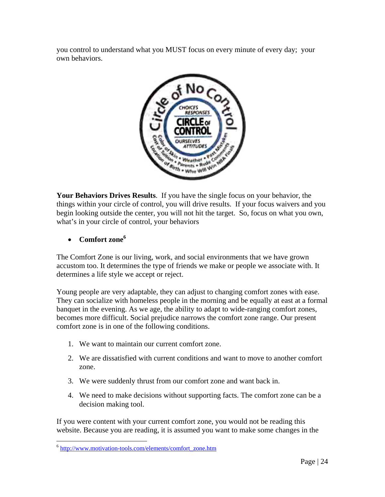you control to understand what you MUST focus on every minute of every day; your own behaviors.



**Your Behaviors Drives Results**. If you have the single focus on your behavior, the things within your circle of control, you will drive results. If your focus waivers and you begin looking outside the center, you will not hit the target. So, focus on what you own, what's in your circle of control, your behaviors

**Comfort zone<sup>6</sup>**

<u>.</u>

The Comfort Zone is our living, work, and social environments that we have grown accustom too. It determines the type of friends we make or people we associate with. It determines a life style we accept or reject.

Young people are very adaptable, they can adjust to changing comfort zones with ease. They can socialize with homeless people in the morning and be equally at east at a formal banquet in the evening. As we age, the ability to adapt to wide-ranging comfort zones, becomes more difficult. Social prejudice narrows the comfort zone range. Our present comfort zone is in one of the following conditions.

- 1. We want to maintain our current comfort zone.
- 2. We are dissatisfied with current conditions and want to move to another comfort zone.
- 3. We were suddenly thrust from our comfort zone and want back in.
- 4. We need to make decisions without supporting facts. The comfort zone can be a decision making tool.

If you were content with your current comfort zone, you would not be reading this website. Because you are reading, it is assumed you want to make some changes in the

<sup>6</sup> http://www.motivation-tools.com/elements/comfort\_zone.htm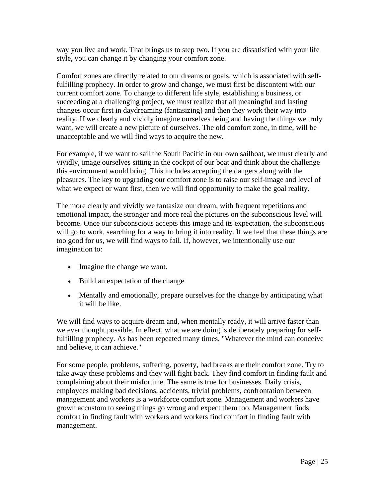way you live and work. That brings us to step two. If you are dissatisfied with your life style, you can change it by changing your comfort zone.

Comfort zones are directly related to our dreams or goals, which is associated with selffulfilling prophecy. In order to grow and change, we must first be discontent with our current comfort zone. To change to different life style, establishing a business, or succeeding at a challenging project, we must realize that all meaningful and lasting changes occur first in daydreaming (fantasizing) and then they work their way into reality. If we clearly and vividly imagine ourselves being and having the things we truly want, we will create a new picture of ourselves. The old comfort zone, in time, will be unacceptable and we will find ways to acquire the new.

For example, if we want to sail the South Pacific in our own sailboat, we must clearly and vividly, image ourselves sitting in the cockpit of our boat and think about the challenge this environment would bring. This includes accepting the dangers along with the pleasures. The key to upgrading our comfort zone is to raise our self-image and level of what we expect or want first, then we will find opportunity to make the goal reality.

The more clearly and vividly we fantasize our dream, with frequent repetitions and emotional impact, the stronger and more real the pictures on the subconscious level will become. Once our subconscious accepts this image and its expectation, the subconscious will go to work, searching for a way to bring it into reality. If we feel that these things are too good for us, we will find ways to fail. If, however, we intentionally use our imagination to:

- Imagine the change we want.
- Build an expectation of the change.
- Mentally and emotionally, prepare ourselves for the change by anticipating what it will be like.

We will find ways to acquire dream and, when mentally ready, it will arrive faster than we ever thought possible. In effect, what we are doing is deliberately preparing for selffulfilling prophecy. As has been repeated many times, "Whatever the mind can conceive and believe, it can achieve."

For some people, problems, suffering, poverty, bad breaks are their comfort zone. Try to take away these problems and they will fight back. They find comfort in finding fault and complaining about their misfortune. The same is true for businesses. Daily crisis, employees making bad decisions, accidents, trivial problems, confrontation between management and workers is a workforce comfort zone. Management and workers have grown accustom to seeing things go wrong and expect them too. Management finds comfort in finding fault with workers and workers find comfort in finding fault with management.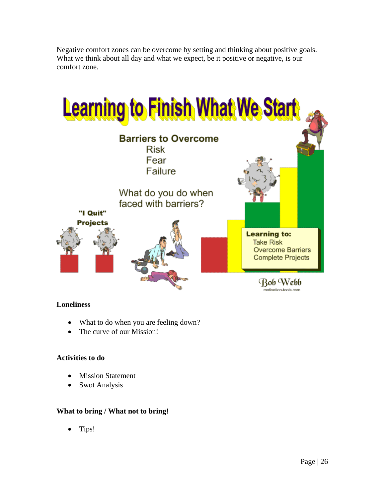

Negative comfort zones can be overcome by setting and thinking about positive goals. What we think about all day and what we expect, be it positive or negative, is our comfort zone.

#### **Loneliness**

- What to do when you are feeling down?
- The curve of our Mission!

#### **Activities to do**

- Mission Statement
- Swot Analysis

#### **What to bring / What not to bring!**

• Tips!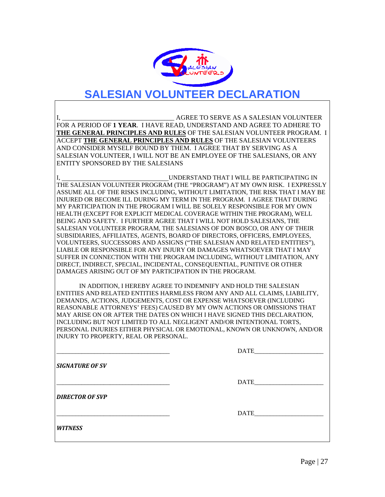

## **SALESIAN VOLUNTEER DECLARATION**

I, **I, and the serve AS A SALESIAN VOLUNTEER** AS A SALESIAN VOLUNTEER FOR A PERIOD OF **1 YEAR**. I HAVE READ, UNDERSTAND AND AGREE TO ADHERE TO **THE GENERAL PRINCIPLES AND RULES** OF THE SALESIAN VOLUNTEER PROGRAM. I ACCEPT **THE GENERAL PRINCIPLES AND RULES** OF THE SALESIAN VOLUNTEERS AND CONSIDER MYSELF BOUND BY THEM. I AGREE THAT BY SERVING AS A SALESIAN VOLUNTEER, I WILL NOT BE AN EMPLOYEE OF THE SALESIANS, OR ANY ENTITY SPONSORED BY THE SALESIANS

I, UNDERSTAND THAT I WILL BE PARTICIPATING IN THE SALESIAN VOLUNTEER PROGRAM (THE "PROGRAM") AT MY OWN RISK. I EXPRESSLY ASSUME ALL OF THE RISKS INCLUDING, WITHOUT LIMITATION, THE RISK THAT I MAY BE INJURED OR BECOME ILL DURING MY TERM IN THE PROGRAM. I AGREE THAT DURING MY PARTICIPATION IN THE PROGRAM I WILL BE SOLELY RESPONSIBLE FOR MY OWN HEALTH (EXCEPT FOR EXPLICIT MEDICAL COVERAGE WITHIN THE PROGRAM), WELL BEING AND SAFETY. I FURTHER AGREE THAT I WILL NOT HOLD SALESIANS, THE SALESIAN VOLUNTEER PROGRAM, THE SALESIANS OF DON BOSCO, OR ANY OF THEIR SUBSIDIARIES, AFFILIATES, AGENTS, BOARD OF DIRECTORS, OFFICERS, EMPLOYEES, VOLUNTEERS, SUCCESSORS AND ASSIGNS ("THE SALESIAN AND RELATED ENTITIES"), LIABLE OR RESPONSIBLE FOR ANY INJURY OR DAMAGES WHATSOEVER THAT I MAY SUFFER IN CONNECTION WITH THE PROGRAM INCLUDING, WITHOUT LIMITATION, ANY DIRECT, INDIRECT, SPECIAL, INCIDENTAL, CONSEQUENTIAL, PUNITIVE OR OTHER DAMAGES ARISING OUT OF MY PARTICIPATION IN THE PROGRAM.

 IN ADDITION, I HEREBY AGREE TO INDEMNIFY AND HOLD THE SALESIAN ENTITIES AND RELATED ENTITIES HARMLESS FROM ANY AND ALL CLAIMS, LIABILITY, DEMANDS, ACTIONS, JUDGEMENTS, COST OR EXPENSE WHATSOEVER (INCLUDING REASONABLE ATTORNEYS' FEES) CAUSED BY MY OWN ACTIONS OR OMISSIONS THAT MAY ARISE ON OR AFTER THE DATES ON WHICH I HAVE SIGNED THIS DECLARATION, INCLUDING BUT NOT LIMITED TO ALL NEGLIGENT AND/OR INTENTIONAL TORTS, PERSONAL INJURIES EITHER PHYSICAL OR EMOTIONAL, KNOWN OR UNKNOWN, AND/OR INJURY TO PROPERTY, REAL OR PERSONAL.

 $_{\rm {DATE}}$ *SIGNATURE OF SV*  $_{\rm {DATE}}$ *DIRECTOR OF SVP* \_\_\_\_\_\_\_\_\_\_\_\_\_\_\_\_\_\_\_\_\_\_\_\_\_\_\_\_\_\_\_\_\_\_\_\_ DATE\_\_\_\_\_\_\_\_\_\_\_\_\_\_\_\_\_\_\_\_\_\_ *WITNESS*